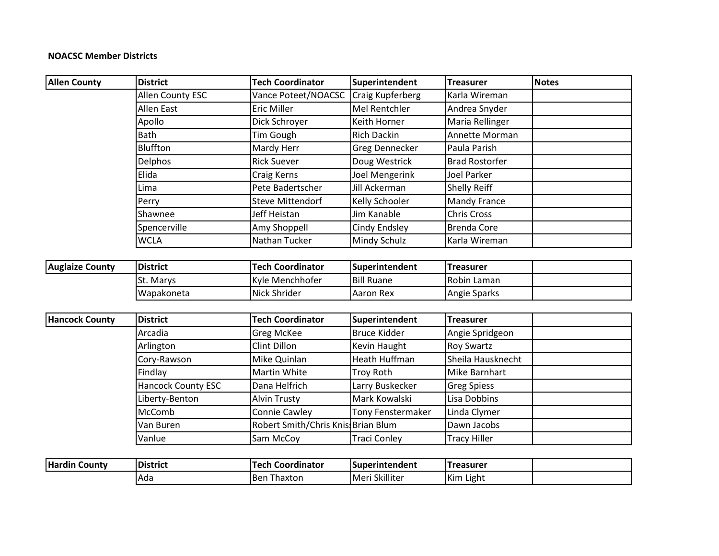## **NOACSC Member Districts**

| <b>Allen County</b>    | <b>District</b>    | <b>Tech Coordinator</b>            | Superintendent           | <b>Treasurer</b>      | <b>Notes</b> |
|------------------------|--------------------|------------------------------------|--------------------------|-----------------------|--------------|
|                        | Allen County ESC   | Vance Poteet/NOACSC                | <b>Craig Kupferberg</b>  | Karla Wireman         |              |
|                        | Allen East         | <b>Eric Miller</b>                 | Mel Rentchler            | Andrea Snyder         |              |
|                        | Apollo             | Dick Schroyer                      | Keith Horner             | Maria Rellinger       |              |
|                        | <b>Bath</b>        | <b>Tim Gough</b>                   | <b>Rich Dackin</b>       | Annette Morman        |              |
|                        | <b>Bluffton</b>    | Mardy Herr                         | Greg Dennecker           | Paula Parish          |              |
|                        | <b>Delphos</b>     | <b>Rick Suever</b>                 | Doug Westrick            | <b>Brad Rostorfer</b> |              |
|                        | Elida              | Craig Kerns                        | Joel Mengerink           | <b>Joel Parker</b>    |              |
|                        | Lima               | Pete Badertscher                   | <b>Jill Ackerman</b>     | Shelly Reiff          |              |
|                        | Perry              | <b>Steve Mittendorf</b>            | Kelly Schooler           | Mandy France          |              |
|                        | Shawnee            | Jeff Heistan                       | <b>Jim Kanable</b>       | <b>Chris Cross</b>    |              |
|                        | Spencerville       | Amy Shoppell                       | Cindy Endsley            | <b>Brenda Core</b>    |              |
|                        | <b>WCLA</b>        | Nathan Tucker                      | Mindy Schulz             | Karla Wireman         |              |
|                        |                    |                                    |                          |                       |              |
| <b>Auglaize County</b> | <b>District</b>    | <b>Tech Coordinator</b>            | Superintendent           | <b>Treasurer</b>      |              |
|                        | St. Marys          | Kyle Menchhofer                    | <b>Bill Ruane</b>        | Robin Laman           |              |
|                        | Wapakoneta         | Nick Shrider                       | <b>Aaron Rex</b>         | Angie Sparks          |              |
|                        |                    |                                    |                          |                       |              |
| <b>Hancock County</b>  | <b>District</b>    | <b>Tech Coordinator</b>            | Superintendent           | <b>Treasurer</b>      |              |
|                        | Arcadia            | <b>Greg McKee</b>                  | <b>Bruce Kidder</b>      | Angie Spridgeon       |              |
|                        | Arlington          | <b>Clint Dillon</b>                | Kevin Haught             | <b>Roy Swartz</b>     |              |
|                        | Cory-Rawson        | Mike Quinlan                       | <b>Heath Huffman</b>     | Sheila Hausknecht     |              |
|                        | Findlay            | Martin White                       | <b>Troy Roth</b>         | Mike Barnhart         |              |
|                        | Hancock County ESC | Dana Helfrich                      | Larry Buskecker          | <b>Greg Spiess</b>    |              |
|                        | Liberty-Benton     | <b>Alvin Trusty</b>                | Mark Kowalski            | Lisa Dobbins          |              |
|                        | McComb             | Connie Cawley                      | <b>Tony Fenstermaker</b> | Linda Clymer          |              |
|                        | Van Buren          | Robert Smith/Chris Knis Brian Blum |                          | Dawn Jacobs           |              |
|                        | Vanlue             | Sam McCoy                          | <b>Traci Conley</b>      | <b>Tracy Hiller</b>   |              |
|                        |                    |                                    |                          |                       |              |
| <b>Hardin County</b>   | <b>District</b>    | <b>Tech Coordinator</b>            | Superintendent           | <b>Treasurer</b>      |              |
|                        | Ada                | <b>Ben Thaxton</b>                 | Meri Skilliter           | Kim Light             |              |
|                        |                    |                                    |                          |                       |              |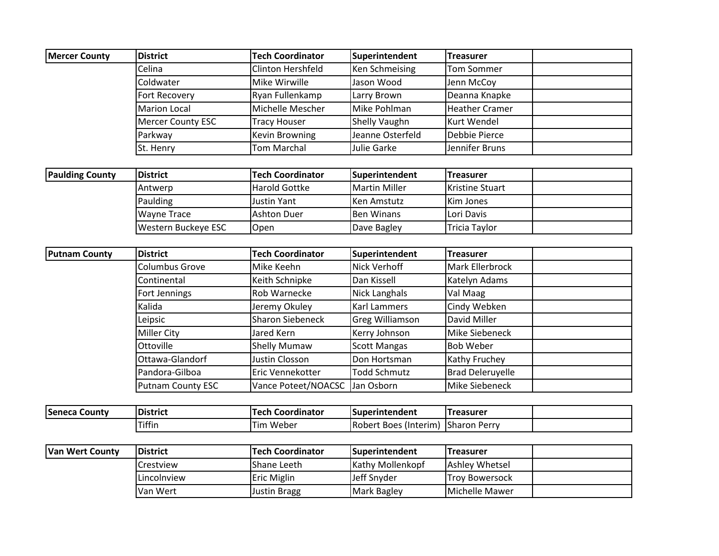| <b>Mercer County</b>   | <b>District</b>          | <b>Tech Coordinator</b>  | Superintendent         | <b>Treasurer</b>        |  |
|------------------------|--------------------------|--------------------------|------------------------|-------------------------|--|
|                        | Celina                   | <b>Clinton Hershfeld</b> | Ken Schmeising         | <b>Tom Sommer</b>       |  |
|                        | Coldwater                | Mike Wirwille            | Jason Wood             | Jenn McCoy              |  |
|                        | Fort Recovery            | Ryan Fullenkamp          | Larry Brown            | Deanna Knapke           |  |
|                        | <b>Marion Local</b>      | Michelle Mescher         | Mike Pohlman           | <b>Heather Cramer</b>   |  |
|                        | <b>Mercer County ESC</b> | <b>Tracy Houser</b>      | Shelly Vaughn          | Kurt Wendel             |  |
|                        | Parkway                  | <b>Kevin Browning</b>    | Jeanne Osterfeld       | Debbie Pierce           |  |
|                        | St. Henry                | <b>Tom Marchal</b>       | Julie Garke            | Jennifer Bruns          |  |
|                        |                          |                          |                        |                         |  |
| <b>Paulding County</b> | <b>District</b>          | <b>Tech Coordinator</b>  | Superintendent         | <b>Treasurer</b>        |  |
|                        | Antwerp                  | <b>Harold Gottke</b>     | <b>Martin Miller</b>   | Kristine Stuart         |  |
|                        | Paulding                 | <b>Justin Yant</b>       | <b>Ken Amstutz</b>     | Kim Jones               |  |
|                        | <b>Wayne Trace</b>       | <b>Ashton Duer</b>       | <b>Ben Winans</b>      | Lori Davis              |  |
|                        | Western Buckeye ESC      | Open                     | Dave Bagley            | <b>Tricia Taylor</b>    |  |
|                        |                          |                          |                        |                         |  |
| <b>Putnam County</b>   | <b>District</b>          | <b>Tech Coordinator</b>  | Superintendent         | <b>Treasurer</b>        |  |
|                        | <b>Columbus Grove</b>    | Mike Keehn               | <b>Nick Verhoff</b>    | Mark Ellerbrock         |  |
|                        | Continental              | Keith Schnipke           | Dan Kissell            | Katelyn Adams           |  |
|                        | Fort Jennings            | Rob Warnecke             | <b>Nick Langhals</b>   | Val Maag                |  |
|                        | Kalida                   | Jeremy Okuley            | <b>Karl Lammers</b>    | Cindy Webken            |  |
|                        | Leipsic                  | <b>Sharon Siebeneck</b>  | <b>Greg Williamson</b> | David Miller            |  |
|                        | Miller City              | Jared Kern               | Kerry Johnson          | Mike Siebeneck          |  |
|                        | Ottoville                | Shelly Mumaw             | <b>Scott Mangas</b>    | <b>Bob Weber</b>        |  |
|                        | Ottawa-Glandorf          | Justin Closson           | Don Hortsman           | Kathy Fruchey           |  |
|                        | Pandora-Gilboa           | Eric Vennekotter         | <b>Todd Schmutz</b>    | <b>Brad Deleruyelle</b> |  |
|                        | <b>Putnam County ESC</b> | Vance Poteet/NOACSC      | Jan Osborn             | Mike Siebeneck          |  |
|                        |                          |                          |                        |                         |  |
| <b>Seneca County</b>   | <b>District</b>          | <b>Tech Coordinator</b>  | Superintendent         | <b>Treasurer</b>        |  |
|                        | <b>Tiffin</b>            | Tim Weber                | Robert Boes (Interim)  | <b>Sharon Perry</b>     |  |
|                        |                          |                          |                        |                         |  |
| <b>Van Wert County</b> | <b>District</b>          | <b>Tech Coordinator</b>  | Superintendent         | <b>Treasurer</b>        |  |
|                        | Crestview                | Shane Leeth              | Kathy Mollenkopf       | Ashley Whetsel          |  |
|                        | Lincolnview              | Eric Miglin              | Jeff Snyder            | <b>Troy Bowersock</b>   |  |
|                        | Van Wert                 | <b>Justin Bragg</b>      | Mark Bagley            | Michelle Mawer          |  |